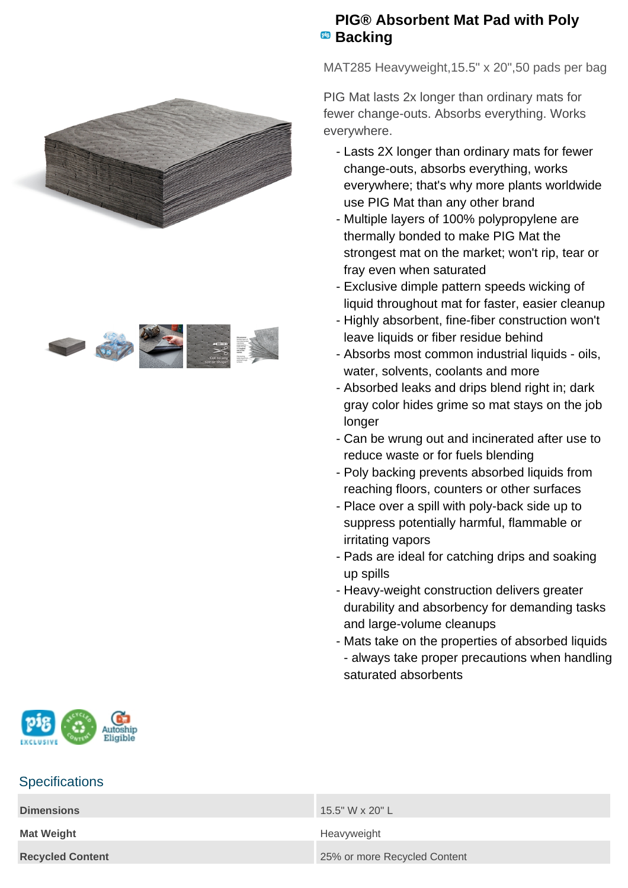



## **PIG® Absorbent Mat Pad with Poly Backing**

MAT285 Heavyweight,15.5" x 20",50 pads per bag

PIG Mat lasts 2x longer than ordinary mats for fewer change-outs. Absorbs everything. Works everywhere.

- Lasts 2X longer than ordinary mats for fewer change-outs, absorbs everything, works everywhere; that's why more plants worldwide use PIG Mat than any other brand
- Multiple layers of 100% polypropylene are thermally bonded to make PIG Mat the strongest mat on the market; won't rip, tear or fray even when saturated
- Exclusive dimple pattern speeds wicking of liquid throughout mat for faster, easier cleanup
- Highly absorbent, fine-fiber construction won't leave liquids or fiber residue behind
- Absorbs most common industrial liquids oils, water, solvents, coolants and more
- Absorbed leaks and drips blend right in; dark gray color hides grime so mat stays on the job longer
- Can be wrung out and incinerated after use to reduce waste or for fuels blending
- Poly backing prevents absorbed liquids from reaching floors, counters or other surfaces
- Place over a spill with poly-back side up to suppress potentially harmful, flammable or irritating vapors
- Pads are ideal for catching drips and soaking up spills
- Heavy-weight construction delivers greater durability and absorbency for demanding tasks and large-volume cleanups
- Mats take on the properties of absorbed liquids - always take proper precautions when handling saturated absorbents



## **Specifications**

| <b>Dimensions</b>       | 15.5" W x 20" L              |
|-------------------------|------------------------------|
| <b>Mat Weight</b>       | Heavyweight                  |
| <b>Recycled Content</b> | 25% or more Recycled Content |